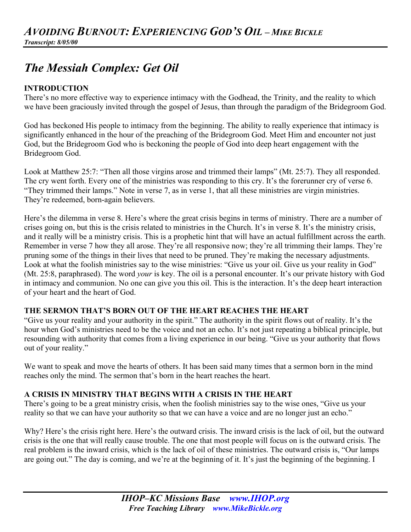# *The Messiah Complex: Get Oil*

## **INTRODUCTION**

There's no more effective way to experience intimacy with the Godhead, the Trinity, and the reality to which we have been graciously invited through the gospel of Jesus, than through the paradigm of the Bridegroom God.

God has beckoned His people to intimacy from the beginning. The ability to really experience that intimacy is significantly enhanced in the hour of the preaching of the Bridegroom God. Meet Him and encounter not just God, but the Bridegroom God who is beckoning the people of God into deep heart engagement with the Bridegroom God.

Look at Matthew 25:7: "Then all those virgins arose and trimmed their lamps" (Mt. 25:7). They all responded. The cry went forth. Every one of the ministries was responding to this cry. It's the forerunner cry of verse 6. "They trimmed their lamps." Note in verse 7, as in verse 1, that all these ministries are virgin ministries. They're redeemed, born-again believers.

Here's the dilemma in verse 8. Here's where the great crisis begins in terms of ministry. There are a number of crises going on, but this is the crisis related to ministries in the Church. It's in verse 8. It's the ministry crisis, and it really will be a ministry crisis. This is a prophetic hint that will have an actual fulfillment across the earth. Remember in verse 7 how they all arose. They're all responsive now; they're all trimming their lamps. They're pruning some of the things in their lives that need to be pruned. They're making the necessary adjustments. Look at what the foolish ministries say to the wise ministries: "Give us your oil. Give us your reality in God" (Mt. 25:8, paraphrased). The word *your* is key. The oil is a personal encounter. It's our private history with God in intimacy and communion. No one can give you this oil. This is the interaction. It's the deep heart interaction of your heart and the heart of God.

## **THE SERMON THAT'S BORN OUT OF THE HEART REACHES THE HEART**

"Give us your reality and your authority in the spirit." The authority in the spirit flows out of reality. It's the hour when God's ministries need to be the voice and not an echo. It's not just repeating a biblical principle, but resounding with authority that comes from a living experience in our being. "Give us your authority that flows out of your reality."

We want to speak and move the hearts of others. It has been said many times that a sermon born in the mind reaches only the mind. The sermon that's born in the heart reaches the heart.

## **A CRISIS IN MINISTRY THAT BEGINS WITH A CRISIS IN THE HEART**

There's going to be a great ministry crisis, when the foolish ministries say to the wise ones, "Give us your reality so that we can have your authority so that we can have a voice and are no longer just an echo."

Why? Here's the crisis right here. Here's the outward crisis. The inward crisis is the lack of oil, but the outward crisis is the one that will really cause trouble. The one that most people will focus on is the outward crisis. The real problem is the inward crisis, which is the lack of oil of these ministries. The outward crisis is, "Our lamps are going out." The day is coming, and we're at the beginning of it. It's just the beginning of the beginning. I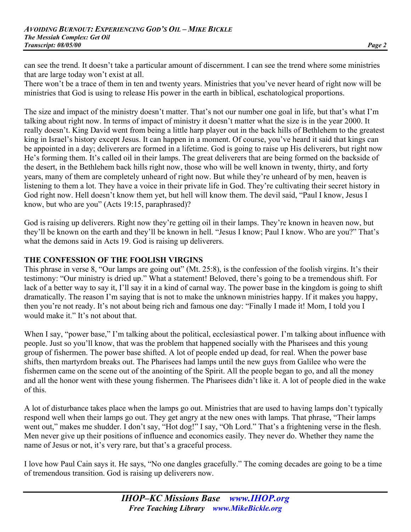can see the trend. It doesn't take a particular amount of discernment. I can see the trend where some ministries that are large today won't exist at all.

There won't be a trace of them in ten and twenty years. Ministries that you've never heard of right now will be ministries that God is using to release His power in the earth in biblical, eschatological proportions.

The size and impact of the ministry doesn't matter. That's not our number one goal in life, but that's what I'm talking about right now. In terms of impact of ministry it doesn't matter what the size is in the year 2000. It really doesn't. King David went from being a little harp player out in the back hills of Bethlehem to the greatest king in Israel's history except Jesus. It can happen in a moment. Of course, you've heard it said that kings can be appointed in a day; deliverers are formed in a lifetime. God is going to raise up His deliverers, but right now He's forming them. It's called oil in their lamps. The great deliverers that are being formed on the backside of the desert, in the Bethlehem back hills right now, those who will be well known in twenty, thirty, and forty years, many of them are completely unheard of right now. But while they're unheard of by men, heaven is listening to them a lot. They have a voice in their private life in God. They're cultivating their secret history in God right now. Hell doesn't know them yet, but hell will know them. The devil said, "Paul I know, Jesus I know, but who are you" (Acts 19:15, paraphrased)?

God is raising up deliverers. Right now they're getting oil in their lamps. They're known in heaven now, but they'll be known on the earth and they'll be known in hell. "Jesus I know; Paul I know. Who are you?" That's what the demons said in Acts 19. God is raising up deliverers.

#### **THE CONFESSION OF THE FOOLISH VIRGINS**

This phrase in verse 8, "Our lamps are going out" (Mt. 25:8), is the confession of the foolish virgins. It's their testimony: "Our ministry is dried up." What a statement! Beloved, there's going to be a tremendous shift. For lack of a better way to say it, I'll say it in a kind of carnal way. The power base in the kingdom is going to shift dramatically. The reason I'm saying that is not to make the unknown ministries happy. If it makes you happy, then you're not ready. It's not about being rich and famous one day: "Finally I made it! Mom, I told you I would make it." It's not about that.

When I say, "power base," I'm talking about the political, ecclesiastical power. I'm talking about influence with people. Just so you'll know, that was the problem that happened socially with the Pharisees and this young group of fishermen. The power base shifted. A lot of people ended up dead, for real. When the power base shifts, then martyrdom breaks out. The Pharisees had lamps until the new guys from Galilee who were the fishermen came on the scene out of the anointing of the Spirit. All the people began to go, and all the money and all the honor went with these young fishermen. The Pharisees didn't like it. A lot of people died in the wake of this.

A lot of disturbance takes place when the lamps go out. Ministries that are used to having lamps don't typically respond well when their lamps go out. They get angry at the new ones with lamps. That phrase, "Their lamps went out," makes me shudder. I don't say, "Hot dog!" I say, "Oh Lord." That's a frightening verse in the flesh. Men never give up their positions of influence and economics easily. They never do. Whether they name the name of Jesus or not, it's very rare, but that's a graceful process.

I love how Paul Cain says it. He says, "No one dangles gracefully." The coming decades are going to be a time of tremendous transition. God is raising up deliverers now.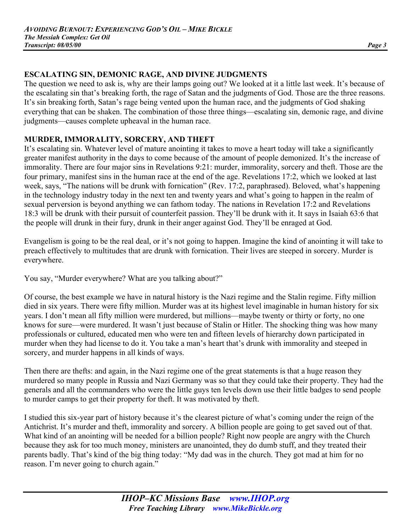## **ESCALATING SIN, DEMONIC RAGE, AND DIVINE JUDGMENTS**

The question we need to ask is, why are their lamps going out? We looked at it a little last week. It's because of the escalating sin that's breaking forth, the rage of Satan and the judgments of God. Those are the three reasons. It's sin breaking forth, Satan's rage being vented upon the human race, and the judgments of God shaking everything that can be shaken. The combination of those three things—escalating sin, demonic rage, and divine judgments—causes complete upheaval in the human race.

#### **MURDER, IMMORALITY, SORCERY, AND THEFT**

It's escalating sin. Whatever level of mature anointing it takes to move a heart today will take a significantly greater manifest authority in the days to come because of the amount of people demonized. It's the increase of immorality. There are four major sins in Revelations 9:21: murder, immorality, sorcery and theft. Those are the four primary, manifest sins in the human race at the end of the age. Revelations 17:2, which we looked at last week, says, "The nations will be drunk with fornication" (Rev. 17:2, paraphrased). Beloved, what's happening in the technology industry today in the next ten and twenty years and what's going to happen in the realm of sexual perversion is beyond anything we can fathom today. The nations in Revelation 17:2 and Revelations 18:3 will be drunk with their pursuit of counterfeit passion. They'll be drunk with it. It says in Isaiah 63:6 that the people will drunk in their fury, drunk in their anger against God. They'll be enraged at God.

Evangelism is going to be the real deal, or it's not going to happen. Imagine the kind of anointing it will take to preach effectively to multitudes that are drunk with fornication. Their lives are steeped in sorcery. Murder is everywhere.

You say, "Murder everywhere? What are you talking about?"

Of course, the best example we have in natural history is the Nazi regime and the Stalin regime. Fifty million died in six years. There were fifty million. Murder was at its highest level imaginable in human history for six years. I don't mean all fifty million were murdered, but millions—maybe twenty or thirty or forty, no one knows for sure—were murdered. It wasn't just because of Stalin or Hitler. The shocking thing was how many professionals or cultured, educated men who were ten and fifteen levels of hierarchy down participated in murder when they had license to do it. You take a man's heart that's drunk with immorality and steeped in sorcery, and murder happens in all kinds of ways.

Then there are thefts: and again, in the Nazi regime one of the great statements is that a huge reason they murdered so many people in Russia and Nazi Germany was so that they could take their property. They had the generals and all the commanders who were the little guys ten levels down use their little badges to send people to murder camps to get their property for theft. It was motivated by theft.

I studied this six-year part of history because it's the clearest picture of what's coming under the reign of the Antichrist. It's murder and theft, immorality and sorcery. A billion people are going to get saved out of that. What kind of an anointing will be needed for a billion people? Right now people are angry with the Church because they ask for too much money, ministers are unanointed, they do dumb stuff, and they treated their parents badly. That's kind of the big thing today: "My dad was in the church. They got mad at him for no reason. I'm never going to church again."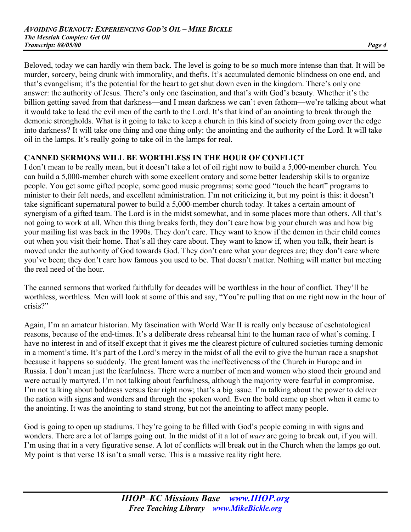Beloved, today we can hardly win them back. The level is going to be so much more intense than that. It will be murder, sorcery, being drunk with immorality, and thefts. It's accumulated demonic blindness on one end, and that's evangelism; it's the potential for the heart to get shut down even in the kingdom. There's only one answer: the authority of Jesus. There's only one fascination, and that's with God's beauty. Whether it's the billion getting saved from that darkness—and I mean darkness we can't even fathom—we're talking about what it would take to lead the evil men of the earth to the Lord. It's that kind of an anointing to break through the demonic strongholds. What is it going to take to keep a church in this kind of society from going over the edge into darkness? It will take one thing and one thing only: the anointing and the authority of the Lord. It will take oil in the lamps. It's really going to take oil in the lamps for real.

#### **CANNED SERMONS WILL BE WORTHLESS IN THE HOUR OF CONFLICT**

I don't mean to be really mean, but it doesn't take a lot of oil right now to build a 5,000-member church. You can build a 5,000-member church with some excellent oratory and some better leadership skills to organize people. You get some gifted people, some good music programs; some good "touch the heart" programs to minister to their felt needs, and excellent administration. I'm not criticizing it, but my point is this: it doesn't take significant supernatural power to build a 5,000-member church today. It takes a certain amount of synergism of a gifted team. The Lord is in the midst somewhat, and in some places more than others. All that's not going to work at all. When this thing breaks forth, they don't care how big your church was and how big your mailing list was back in the 1990s. They don't care. They want to know if the demon in their child comes out when you visit their home. That's all they care about. They want to know if, when you talk, their heart is moved under the authority of God towards God. They don't care what your degrees are; they don't care where you've been; they don't care how famous you used to be. That doesn't matter. Nothing will matter but meeting the real need of the hour.

The canned sermons that worked faithfully for decades will be worthless in the hour of conflict. They'll be worthless, worthless. Men will look at some of this and say, "You're pulling that on me right now in the hour of crisis?"

Again, I'm an amateur historian. My fascination with World War II is really only because of eschatological reasons, because of the end-times. It's a deliberate dress rehearsal hint to the human race of what's coming. I have no interest in and of itself except that it gives me the clearest picture of cultured societies turning demonic in a moment's time. It's part of the Lord's mercy in the midst of all the evil to give the human race a snapshot because it happens so suddenly. The great lament was the ineffectiveness of the Church in Europe and in Russia. I don't mean just the fearfulness. There were a number of men and women who stood their ground and were actually martyred. I'm not talking about fearfulness, although the majority were fearful in compromise. I'm not talking about boldness versus fear right now; that's a big issue. I'm talking about the power to deliver the nation with signs and wonders and through the spoken word. Even the bold came up short when it came to the anointing. It was the anointing to stand strong, but not the anointing to affect many people.

God is going to open up stadiums. They're going to be filled with God's people coming in with signs and wonders. There are a lot of lamps going out. In the midst of it a lot of *wars* are going to break out, if you will. I'm using that in a very figurative sense. A lot of conflicts will break out in the Church when the lamps go out. My point is that verse 18 isn't a small verse. This is a massive reality right here.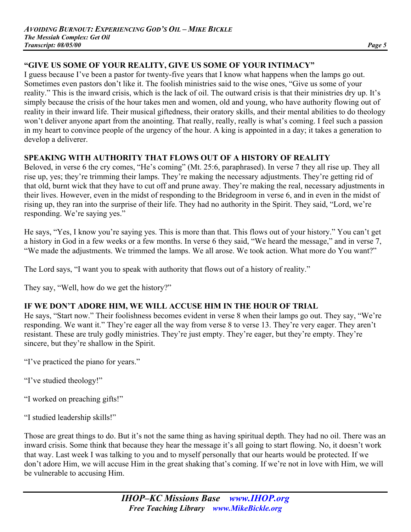## **"GIVE US SOME OF YOUR REALITY, GIVE US SOME OF YOUR INTIMACY"**

I guess because I've been a pastor for twenty-five years that I know what happens when the lamps go out. Sometimes even pastors don't like it. The foolish ministries said to the wise ones, "Give us some of your reality." This is the inward crisis, which is the lack of oil. The outward crisis is that their ministries dry up. It's simply because the crisis of the hour takes men and women, old and young, who have authority flowing out of reality in their inward life. Their musical giftedness, their oratory skills, and their mental abilities to do theology won't deliver anyone apart from the anointing. That really, really, really is what's coming. I feel such a passion in my heart to convince people of the urgency of the hour. A king is appointed in a day; it takes a generation to develop a deliverer.

#### **SPEAKING WITH AUTHORITY THAT FLOWS OUT OF A HISTORY OF REALITY**

Beloved, in verse 6 the cry comes, "He's coming" (Mt. 25:6, paraphrased). In verse 7 they all rise up. They all rise up, yes; they're trimming their lamps. They're making the necessary adjustments. They're getting rid of that old, burnt wick that they have to cut off and prune away. They're making the real, necessary adjustments in their lives. However, even in the midst of responding to the Bridegroom in verse 6, and in even in the midst of rising up, they ran into the surprise of their life. They had no authority in the Spirit. They said, "Lord, we're responding. We're saying yes."

He says, "Yes, I know you're saying yes. This is more than that. This flows out of your history." You can't get a history in God in a few weeks or a few months. In verse 6 they said, "We heard the message," and in verse 7, "We made the adjustments. We trimmed the lamps. We all arose. We took action. What more do You want?"

The Lord says, "I want you to speak with authority that flows out of a history of reality."

They say, "Well, how do we get the history?"

## **IF WE DON'T ADORE HIM, WE WILL ACCUSE HIM IN THE HOUR OF TRIAL**

He says, "Start now." Their foolishness becomes evident in verse 8 when their lamps go out. They say, "We're responding. We want it." They're eager all the way from verse 8 to verse 13. They're very eager. They aren't resistant. These are truly godly ministries. They're just empty. They're eager, but they're empty. They're sincere, but they're shallow in the Spirit.

"I've practiced the piano for years."

"I've studied theology!"

"I worked on preaching gifts!"

"I studied leadership skills!"

Those are great things to do. But it's not the same thing as having spiritual depth. They had no oil. There was an inward crisis. Some think that because they hear the message it's all going to start flowing. No, it doesn't work that way. Last week I was talking to you and to myself personally that our hearts would be protected. If we don't adore Him, we will accuse Him in the great shaking that's coming. If we're not in love with Him, we will be vulnerable to accusing Him.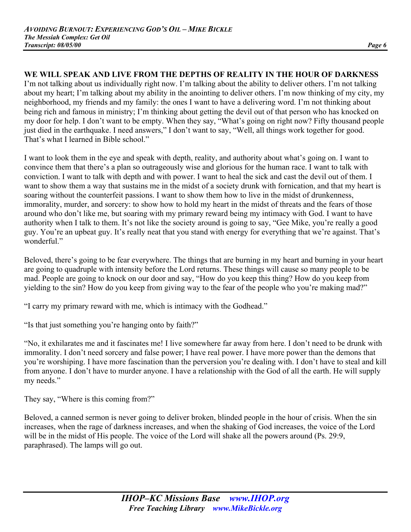## **WE WILL SPEAK AND LIVE FROM THE DEPTHS OF REALITY IN THE HOUR OF DARKNESS**

I'm not talking about us individually right now. I'm talking about the ability to deliver others. I'm not talking about my heart; I'm talking about my ability in the anointing to deliver others. I'm now thinking of my city, my neighborhood, my friends and my family: the ones I want to have a delivering word. I'm not thinking about being rich and famous in ministry; I'm thinking about getting the devil out of that person who has knocked on my door for help. I don't want to be empty. When they say, "What's going on right now? Fifty thousand people just died in the earthquake. I need answers," I don't want to say, "Well, all things work together for good. That's what I learned in Bible school."

I want to look them in the eye and speak with depth, reality, and authority about what's going on. I want to convince them that there's a plan so outrageously wise and glorious for the human race. I want to talk with conviction. I want to talk with depth and with power. I want to heal the sick and cast the devil out of them. I want to show them a way that sustains me in the midst of a society drunk with fornication, and that my heart is soaring without the counterfeit passions. I want to show them how to live in the midst of drunkenness, immorality, murder, and sorcery: to show how to hold my heart in the midst of threats and the fears of those around who don't like me, but soaring with my primary reward being my intimacy with God. I want to have authority when I talk to them. It's not like the society around is going to say, "Gee Mike, you're really a good guy. You're an upbeat guy. It's really neat that you stand with energy for everything that we're against. That's wonderful."

Beloved, there's going to be fear everywhere. The things that are burning in my heart and burning in your heart are going to quadruple with intensity before the Lord returns. These things will cause so many people to be mad. People are going to knock on our door and say, "How do you keep this thing? How do you keep from yielding to the sin? How do you keep from giving way to the fear of the people who you're making mad?"

"I carry my primary reward with me, which is intimacy with the Godhead."

"Is that just something you're hanging onto by faith?"

"No, it exhilarates me and it fascinates me! I live somewhere far away from here. I don't need to be drunk with immorality. I don't need sorcery and false power; I have real power. I have more power than the demons that you're worshiping. I have more fascination than the perversion you're dealing with. I don't have to steal and kill from anyone. I don't have to murder anyone. I have a relationship with the God of all the earth. He will supply my needs."

They say, "Where is this coming from?"

Beloved, a canned sermon is never going to deliver broken, blinded people in the hour of crisis. When the sin increases, when the rage of darkness increases, and when the shaking of God increases, the voice of the Lord will be in the midst of His people. The voice of the Lord will shake all the powers around (Ps. 29:9, paraphrased). The lamps will go out.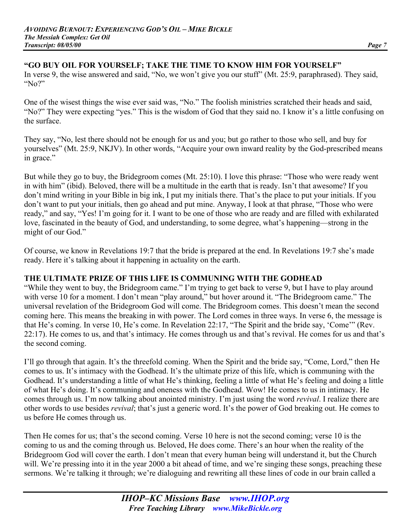## **"GO BUY OIL FOR YOURSELF; TAKE THE TIME TO KNOW HIM FOR YOURSELF"**

In verse 9, the wise answered and said, "No, we won't give you our stuff" (Mt. 25:9, paraphrased). They said, "No?"

One of the wisest things the wise ever said was, "No." The foolish ministries scratched their heads and said, "No?" They were expecting "yes." This is the wisdom of God that they said no. I know it's a little confusing on the surface.

They say, "No, lest there should not be enough for us and you; but go rather to those who sell, and buy for yourselves" (Mt. 25:9, NKJV). In other words, "Acquire your own inward reality by the God-prescribed means in grace."

But while they go to buy, the Bridegroom comes (Mt. 25:10). I love this phrase: "Those who were ready went in with him" (ibid). Beloved, there will be a multitude in the earth that is ready. Isn't that awesome? If you don't mind writing in your Bible in big ink, I put my initials there. That's the place to put your initials. If you don't want to put your initials, then go ahead and put mine. Anyway, I look at that phrase, "Those who were ready," and say, "Yes! I'm going for it. I want to be one of those who are ready and are filled with exhilarated love, fascinated in the beauty of God, and understanding, to some degree, what's happening—strong in the might of our God."

Of course, we know in Revelations 19:7 that the bride is prepared at the end. In Revelations 19:7 she's made ready. Here it's talking about it happening in actuality on the earth.

#### **THE ULTIMATE PRIZE OF THIS LIFE IS COMMUNING WITH THE GODHEAD**

"While they went to buy, the Bridegroom came." I'm trying to get back to verse 9, but I have to play around with verse 10 for a moment. I don't mean "play around," but hover around it. "The Bridegroom came." The universal revelation of the Bridegroom God will come. The Bridegroom comes. This doesn't mean the second coming here. This means the breaking in with power. The Lord comes in three ways. In verse 6, the message is that He's coming. In verse 10, He's come. In Revelation 22:17, "The Spirit and the bride say, 'Come'" (Rev. 22:17). He comes to us, and that's intimacy. He comes through us and that's revival. He comes for us and that's the second coming.

I'll go through that again. It's the threefold coming. When the Spirit and the bride say, "Come, Lord," then He comes to us. It's intimacy with the Godhead. It's the ultimate prize of this life, which is communing with the Godhead. It's understanding a little of what He's thinking, feeling a little of what He's feeling and doing a little of what He's doing. It's communing and oneness with the Godhead. Wow! He comes to us in intimacy. He comes through us. I'm now talking about anointed ministry. I'm just using the word *revival*. I realize there are other words to use besides *revival*; that's just a generic word. It's the power of God breaking out. He comes to us before He comes through us.

Then He comes for us; that's the second coming. Verse 10 here is not the second coming; verse 10 is the coming to us and the coming through us. Beloved, He does come. There's an hour when the reality of the Bridegroom God will cover the earth. I don't mean that every human being will understand it, but the Church will. We're pressing into it in the year 2000 a bit ahead of time, and we're singing these songs, preaching these sermons. We're talking it through; we're dialoguing and rewriting all these lines of code in our brain called a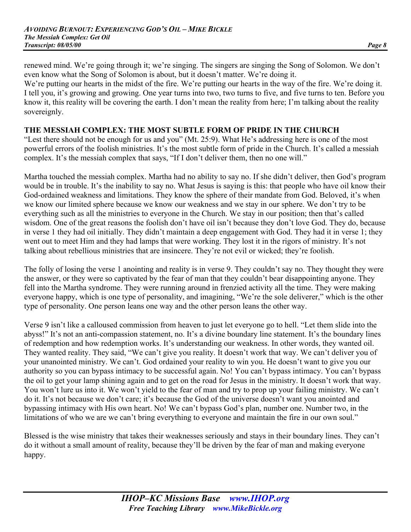renewed mind. We're going through it; we're singing. The singers are singing the Song of Solomon. We don't even know what the Song of Solomon is about, but it doesn't matter. We're doing it.

We're putting our hearts in the midst of the fire. We're putting our hearts in the way of the fire. We're doing it. I tell you, it's growing and growing. One year turns into two, two turns to five, and five turns to ten. Before you know it, this reality will be covering the earth. I don't mean the reality from here; I'm talking about the reality sovereignly.

#### **THE MESSIAH COMPLEX: THE MOST SUBTLE FORM OF PRIDE IN THE CHURCH**

"Lest there should not be enough for us and you" (Mt. 25:9). What He's addressing here is one of the most powerful errors of the foolish ministries. It's the most subtle form of pride in the Church. It's called a messiah complex. It's the messiah complex that says, "If I don't deliver them, then no one will."

Martha touched the messiah complex. Martha had no ability to say no. If she didn't deliver, then God's program would be in trouble. It's the inability to say no. What Jesus is saying is this: that people who have oil know their God-ordained weakness and limitations. They know the sphere of their mandate from God. Beloved, it's when we know our limited sphere because we know our weakness and we stay in our sphere. We don't try to be everything such as all the ministries to everyone in the Church. We stay in our position; then that's called wisdom. One of the great reasons the foolish don't have oil isn't because they don't love God. They do, because in verse 1 they had oil initially. They didn't maintain a deep engagement with God. They had it in verse 1; they went out to meet Him and they had lamps that were working. They lost it in the rigors of ministry. It's not talking about rebellious ministries that are insincere. They're not evil or wicked; they're foolish.

The folly of losing the verse 1 anointing and reality is in verse 9. They couldn't say no. They thought they were the answer, or they were so captivated by the fear of man that they couldn't bear disappointing anyone. They fell into the Martha syndrome. They were running around in frenzied activity all the time. They were making everyone happy, which is one type of personality, and imagining, "We're the sole deliverer," which is the other type of personality. One person leans one way and the other person leans the other way.

Verse 9 isn't like a calloused commission from heaven to just let everyone go to hell. "Let them slide into the abyss!" It's not an anti-compassion statement, no. It's a divine boundary line statement. It's the boundary lines of redemption and how redemption works. It's understanding our weakness. In other words, they wanted oil. They wanted reality. They said, "We can't give you reality. It doesn't work that way. We can't deliver you of your unanointed ministry. We can't. God ordained your reality to win you. He doesn't want to give you our authority so you can bypass intimacy to be successful again. No! You can't bypass intimacy. You can't bypass the oil to get your lamp shining again and to get on the road for Jesus in the ministry. It doesn't work that way. You won't lure us into it. We won't yield to the fear of man and try to prop up your failing ministry. We can't do it. It's not because we don't care; it's because the God of the universe doesn't want you anointed and bypassing intimacy with His own heart. No! We can't bypass God's plan, number one. Number two, in the limitations of who we are we can't bring everything to everyone and maintain the fire in our own soul."

Blessed is the wise ministry that takes their weaknesses seriously and stays in their boundary lines. They can't do it without a small amount of reality, because they'll be driven by the fear of man and making everyone happy.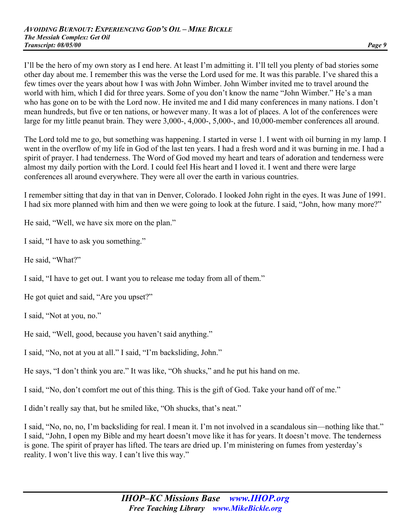I'll be the hero of my own story as I end here. At least I'm admitting it. I'll tell you plenty of bad stories some other day about me. I remember this was the verse the Lord used for me. It was this parable. I've shared this a few times over the years about how I was with John Wimber. John Wimber invited me to travel around the world with him, which I did for three years. Some of you don't know the name "John Wimber." He's a man who has gone on to be with the Lord now. He invited me and I did many conferences in many nations. I don't mean hundreds, but five or ten nations, or however many. It was a lot of places. A lot of the conferences were large for my little peanut brain. They were 3,000-, 4,000-, 5,000-, and 10,000-member conferences all around.

The Lord told me to go, but something was happening. I started in verse 1. I went with oil burning in my lamp. I went in the overflow of my life in God of the last ten years. I had a fresh word and it was burning in me. I had a spirit of prayer. I had tenderness. The Word of God moved my heart and tears of adoration and tenderness were almost my daily portion with the Lord. I could feel His heart and I loved it. I went and there were large conferences all around everywhere. They were all over the earth in various countries.

I remember sitting that day in that van in Denver, Colorado. I looked John right in the eyes. It was June of 1991. I had six more planned with him and then we were going to look at the future. I said, "John, how many more?"

He said, "Well, we have six more on the plan."

I said, "I have to ask you something."

He said, "What?"

I said, "I have to get out. I want you to release me today from all of them."

He got quiet and said, "Are you upset?"

I said, "Not at you, no."

He said, "Well, good, because you haven't said anything."

I said, "No, not at you at all." I said, "I'm backsliding, John."

He says, "I don't think you are." It was like, "Oh shucks," and he put his hand on me.

I said, "No, don't comfort me out of this thing. This is the gift of God. Take your hand off of me."

I didn't really say that, but he smiled like, "Oh shucks, that's neat."

I said, "No, no, no, I'm backsliding for real. I mean it. I'm not involved in a scandalous sin—nothing like that." I said, "John, I open my Bible and my heart doesn't move like it has for years. It doesn't move. The tenderness is gone. The spirit of prayer has lifted. The tears are dried up. I'm ministering on fumes from yesterday's reality. I won't live this way. I can't live this way."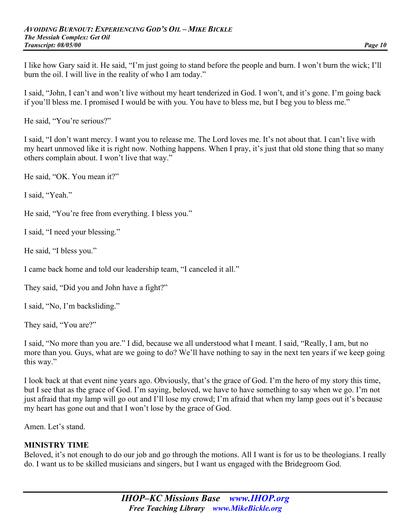I like how Gary said it. He said, "I'm just going to stand before the people and burn. I won't burn the wick; I'll burn the oil. I will live in the reality of who I am today."

I said, "John, I can't and won't live without my heart tenderized in God. I won't, and it's gone. I'm going back if you'll bless me. I promised I would be with you. You have to bless me, but I beg you to bless me."

He said, "You're serious?"

I said, "I don't want mercy. I want you to release me. The Lord loves me. It's not about that. I can't live with my heart unmoved like it is right now. Nothing happens. When I pray, it's just that old stone thing that so many others complain about. I won't live that way."

He said, "OK. You mean it?"

I said, "Yeah."

He said, "You're free from everything. I bless you."

I said, "I need your blessing."

He said, "I bless you."

I came back home and told our leadership team, "I canceled it all."

They said, "Did you and John have a fight?"

I said, "No, I'm backsliding."

They said, "You are?"

I said, "No more than you are." I did, because we all understood what I meant. I said, "Really, I am, but no more than you. Guys, what are we going to do? We'll have nothing to say in the next ten years if we keep going this way."

I look back at that event nine years ago. Obviously, that's the grace of God. I'm the hero of my story this time, but I see that as the grace of God. I'm saying, beloved, we have to have something to say when we go. I'm not just afraid that my lamp will go out and I'll lose my crowd; I'm afraid that when my lamp goes out it's because my heart has gone out and that I won't lose by the grace of God.

Amen. Let's stand.

#### **MINISTRY TIME**

Beloved, it's not enough to do our job and go through the motions. All I want is for us to be theologians. I really do. I want us to be skilled musicians and singers, but I want us engaged with the Bridegroom God.